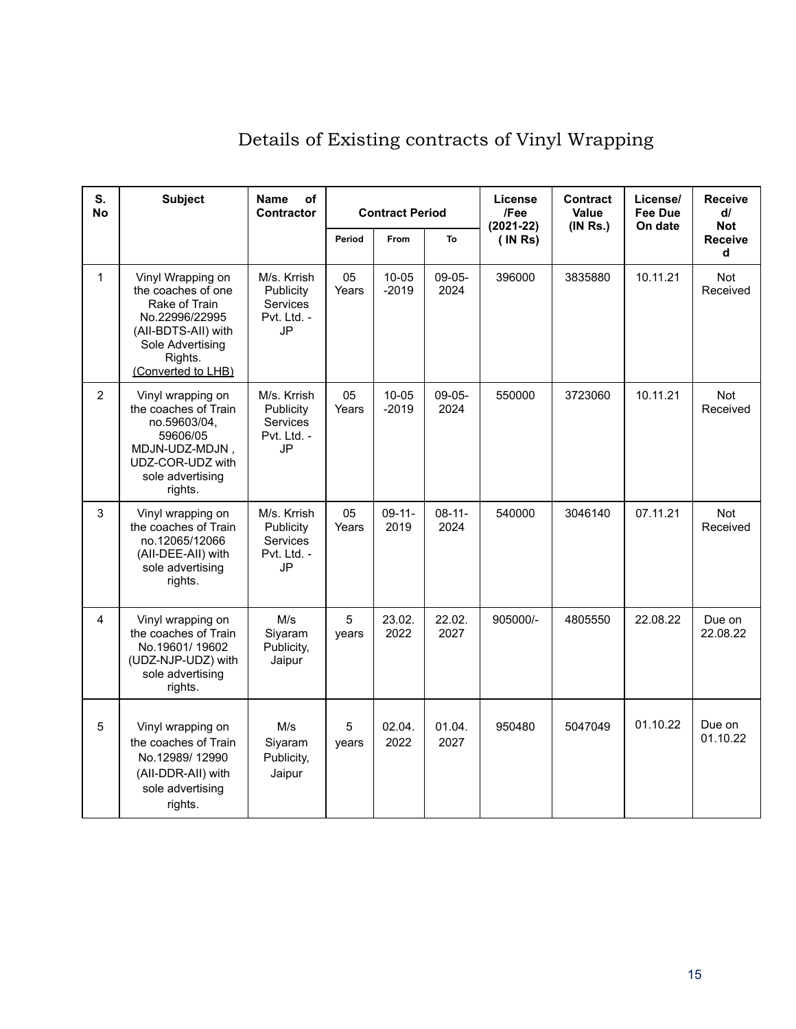| S.<br><b>No</b> | <b>Subject</b>                                                                                                                                         | <b>Name</b><br>оf<br><b>Contractor</b>                                  | <b>Contract Period</b> |                      | License<br>/Fee<br>$(2021 - 22)$ | <b>Contract</b><br>Value<br>(INRS.) | License/<br><b>Fee Due</b><br>On date | <b>Receive</b><br>$d\ell$<br><b>Not</b> |                        |
|-----------------|--------------------------------------------------------------------------------------------------------------------------------------------------------|-------------------------------------------------------------------------|------------------------|----------------------|----------------------------------|-------------------------------------|---------------------------------------|-----------------------------------------|------------------------|
|                 |                                                                                                                                                        |                                                                         | Period                 | From                 | To                               | (INRS)                              |                                       |                                         | <b>Receive</b><br>d    |
| $\mathbf{1}$    | Vinyl Wrapping on<br>the coaches of one<br>Rake of Train<br>No.22996/22995<br>(All-BDTS-All) with<br>Sole Advertising<br>Rights.<br>(Converted to LHB) | M/s. Krrish<br>Publicity<br>Services<br>Pvt. Ltd. -<br>JP               | 05<br>Years            | $10 - 05$<br>$-2019$ | $09-05-$<br>2024                 | 396000                              | 3835880                               | 10.11.21                                | Not<br>Received        |
| $\overline{2}$  | Vinyl wrapping on<br>the coaches of Train<br>no.59603/04,<br>59606/05<br>MDJN-UDZ-MDJN,<br>UDZ-COR-UDZ with<br>sole advertising<br>rights.             | M/s. Krrish<br>Publicity<br><b>Services</b><br>Pvt. Ltd. -<br><b>JP</b> | 05<br>Years            | 10-05<br>$-2019$     | $09-05-$<br>2024                 | 550000                              | 3723060                               | 10.11.21                                | <b>Not</b><br>Received |
| 3               | Vinyl wrapping on<br>the coaches of Train<br>no.12065/12066<br>(All-DEE-All) with<br>sole advertising<br>rights.                                       | M/s. Krrish<br>Publicity<br><b>Services</b><br>Pvt. Ltd. -<br>JP        | 05<br>Years            | $09 - 11 -$<br>2019  | $08 - 11 -$<br>2024              | 540000                              | 3046140                               | 07.11.21                                | Not<br>Received        |
| 4               | Vinyl wrapping on<br>the coaches of Train<br>No.19601/19602<br>(UDZ-NJP-UDZ) with<br>sole advertising<br>rights.                                       | M/s<br>Siyaram<br>Publicity,<br>Jaipur                                  | 5<br>years             | 23.02.<br>2022       | 22.02.<br>2027                   | 905000/-                            | 4805550                               | 22.08.22                                | Due on<br>22.08.22     |
| $\mathbf 5$     | Vinyl wrapping on<br>the coaches of Train<br>No.12989/12990<br>(All-DDR-All) with<br>sole advertising<br>rights.                                       | M/s<br>Siyaram<br>Publicity,<br>Jaipur                                  | 5<br>years             | 02.04.<br>2022       | 01.04.<br>2027                   | 950480                              | 5047049                               | 01.10.22                                | Due on<br>01.10.22     |

# Details of Existing contracts of Vinyl Wrapping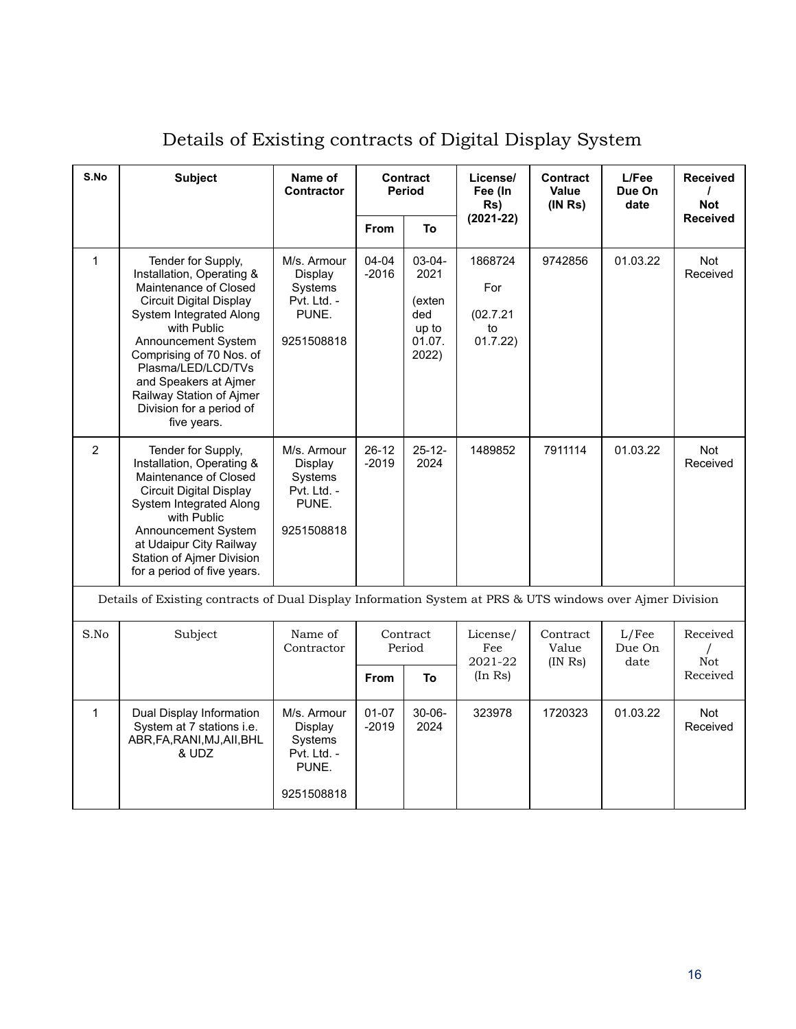| S.No         | <b>Subject</b>                                                                                                                                                                                                                                                                                                                | Name of<br><b>Contract</b><br>Period<br><b>Contractor</b>               |                      |                                                             | License/<br>Fee (In<br>Rs)                    | <b>Contract</b><br><b>Value</b><br>(INRS) | L/Fee<br>Due On<br>date | <b>Received</b><br><b>Not</b> |
|--------------|-------------------------------------------------------------------------------------------------------------------------------------------------------------------------------------------------------------------------------------------------------------------------------------------------------------------------------|-------------------------------------------------------------------------|----------------------|-------------------------------------------------------------|-----------------------------------------------|-------------------------------------------|-------------------------|-------------------------------|
|              |                                                                                                                                                                                                                                                                                                                               |                                                                         | From                 | To                                                          | $(2021 - 22)$                                 |                                           |                         | <b>Received</b>               |
| $\mathbf{1}$ | Tender for Supply,<br>Installation, Operating &<br>Maintenance of Closed<br><b>Circuit Digital Display</b><br>System Integrated Along<br>with Public<br>Announcement System<br>Comprising of 70 Nos. of<br>Plasma/LED/LCD/TVs<br>and Speakers at Ajmer<br>Railway Station of Ajmer<br>Division for a period of<br>five years. | M/s. Armour<br>Display<br>Systems<br>Pvt. Ltd. -<br>PUNE.<br>9251508818 | 04-04<br>$-2016$     | 03-04-<br>2021<br>(exten<br>ded<br>up to<br>01.07.<br>2022) | 1868724<br>For<br>(02.7.21)<br>to<br>01.7.22) | 9742856                                   | 01.03.22                | <b>Not</b><br>Received        |
| 2            | Tender for Supply,<br>Installation, Operating &<br>Maintenance of Closed<br><b>Circuit Digital Display</b><br>System Integrated Along<br>with Public<br>Announcement System<br>at Udaipur City Railway<br><b>Station of Ajmer Division</b><br>for a period of five years.                                                     | M/s. Armour<br>Display<br>Systems<br>Pvt. Ltd. -<br>PUNE.<br>9251508818 | $26 - 12$<br>$-2019$ | $25 - 12 -$<br>2024                                         | 1489852                                       | 7911114                                   | 01.03.22                | <b>Not</b><br>Received        |
|              | Details of Existing contracts of Dual Display Information System at PRS & UTS windows over Ajmer Division                                                                                                                                                                                                                     |                                                                         |                      |                                                             |                                               |                                           |                         |                               |
| S.No         | Subject                                                                                                                                                                                                                                                                                                                       | Name of<br>Contractor                                                   | Contract<br>Period   |                                                             | License/<br>Fee<br>2021-22                    | Contract<br>Value<br>$(IN$ Rs $)$         | L/Fee<br>Due On<br>date | Received<br>Not               |
|              |                                                                                                                                                                                                                                                                                                                               |                                                                         | <b>From</b>          | To                                                          | (In Rs)                                       |                                           |                         | Received                      |
| $\mathbf{1}$ | Dual Display Information<br>System at 7 stations <i>i.e.</i><br>ABR, FA, RANI, MJ, AII, BHL<br>& UDZ                                                                                                                                                                                                                          | M/s. Armour<br>Display<br>Systems<br>Pvt. Ltd. -<br>PUNE.<br>9251508818 | $01 - 07$<br>$-2019$ | $30 - 06 -$<br>2024                                         | 323978                                        | 1720323                                   | 01.03.22                | Not<br>Received               |

# Details of Existing contracts of Digital Display System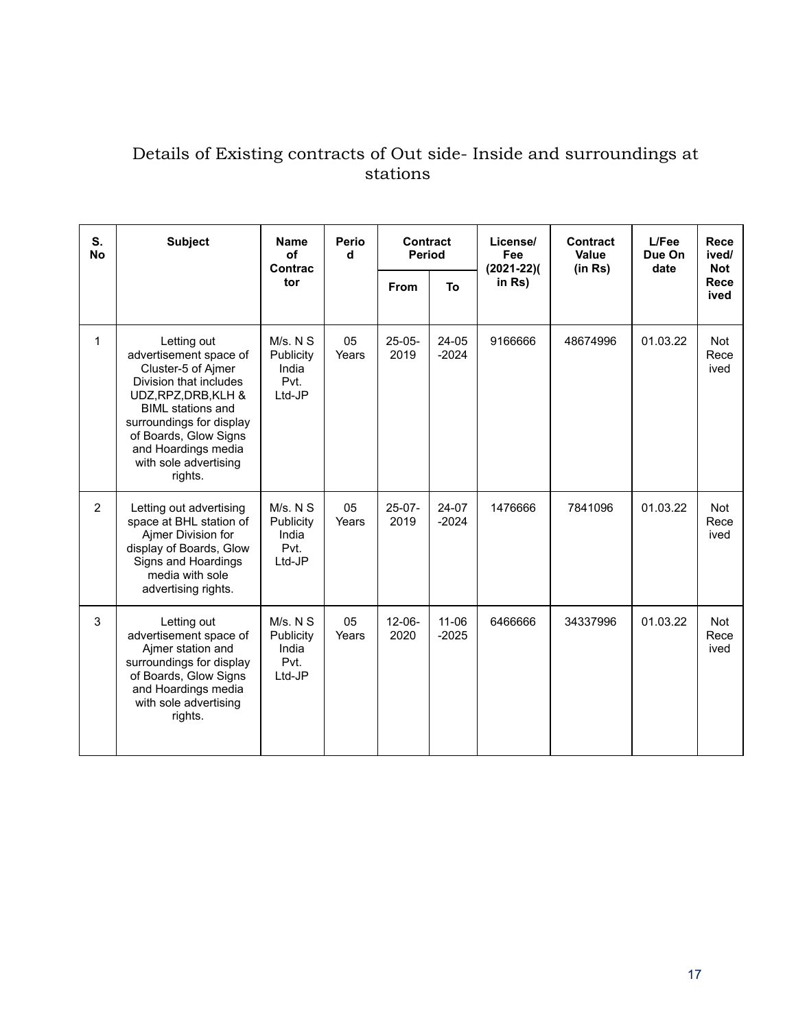#### Details of Existing contracts of Out side- Inside and surroundings at stations

| S.<br><b>No</b> | <b>Subject</b>                                                                                                                                                                                                                                            | <b>Name</b><br>of                                | Perio<br>d  | Contract<br><b>Period</b> |                      | License/<br>Fee          | Contract<br>Value | L/Fee<br>Due On<br>date | Rece<br>ived/<br><b>Not</b> |
|-----------------|-----------------------------------------------------------------------------------------------------------------------------------------------------------------------------------------------------------------------------------------------------------|--------------------------------------------------|-------------|---------------------------|----------------------|--------------------------|-------------------|-------------------------|-----------------------------|
|                 |                                                                                                                                                                                                                                                           | Contrac<br>tor                                   |             | <b>From</b>               | To                   | $(2021 - 22)($<br>in Rs) | (in Rs)           |                         | Rece<br>ived                |
| 1               | Letting out<br>advertisement space of<br>Cluster-5 of Ajmer<br>Division that includes<br>UDZ, RPZ, DRB, KLH &<br><b>BIML</b> stations and<br>surroundings for display<br>of Boards, Glow Signs<br>and Hoardings media<br>with sole advertising<br>rights. | M/s. N S<br>Publicity<br>India<br>Pvt.<br>Ltd-JP | 05<br>Years | $25 - 05 -$<br>2019       | 24-05<br>$-2024$     | 9166666                  | 48674996          | 01.03.22                | <b>Not</b><br>Rece<br>ived  |
| $\overline{2}$  | Letting out advertising<br>space at BHL station of<br>Ajmer Division for<br>display of Boards, Glow<br>Signs and Hoardings<br>media with sole<br>advertising rights.                                                                                      | M/s. N S<br>Publicity<br>India<br>Pvt.<br>Ltd-JP | 05<br>Years | $25-07-$<br>2019          | 24-07<br>$-2024$     | 1476666                  | 7841096           | 01.03.22                | <b>Not</b><br>Rece<br>ived  |
| 3               | Letting out<br>advertisement space of<br>Ajmer station and<br>surroundings for display<br>of Boards, Glow Signs<br>and Hoardings media<br>with sole advertising<br>rights.                                                                                | M/s. N S<br>Publicity<br>India<br>Pvt.<br>Ltd-JP | 05<br>Years | $12 - 06 -$<br>2020       | $11 - 06$<br>$-2025$ | 6466666                  | 34337996          | 01.03.22                | <b>Not</b><br>Rece<br>ived  |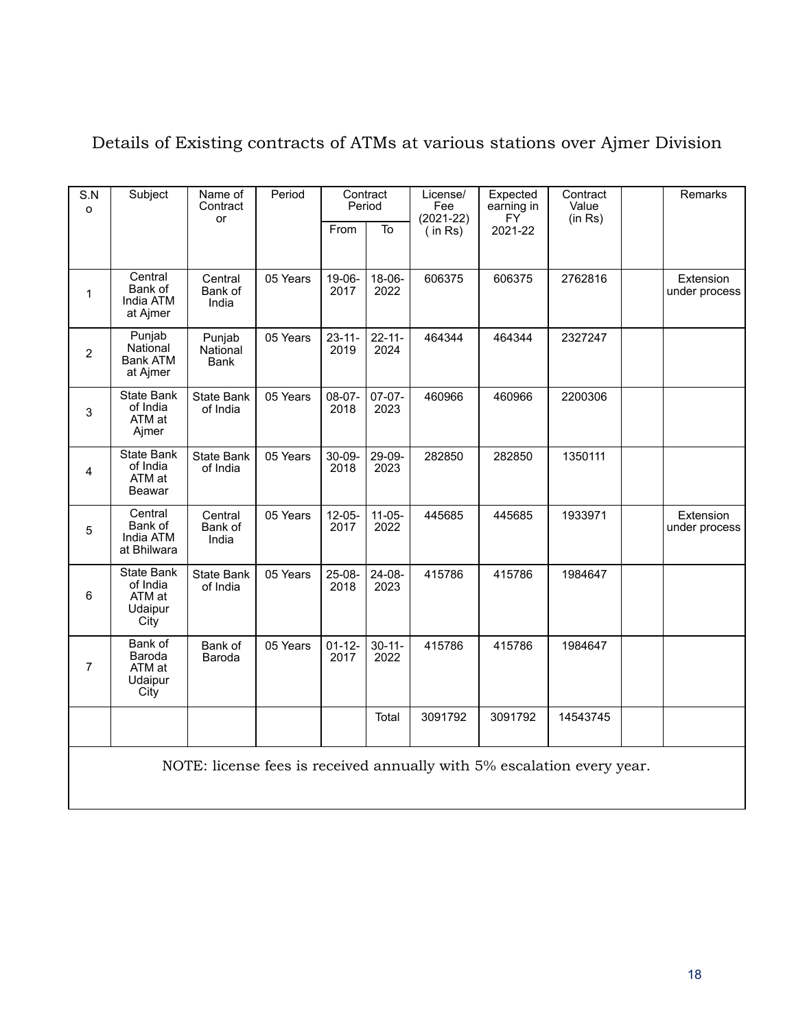| S.N<br>$\circ$ | Subject                                                    | Name of<br>Contract               | Period   |                     | Contract<br>Period  | License/<br>Fee          | Expected<br>earning in<br>FY <sup></sup> | Contract<br>Value | Remarks                    |
|----------------|------------------------------------------------------------|-----------------------------------|----------|---------------------|---------------------|--------------------------|------------------------------------------|-------------------|----------------------------|
|                |                                                            | or                                |          | From                | To                  | $(2021 - 22)$<br>(in Rs) | 2021-22                                  | (in Rs)           |                            |
| 1              | Central<br>Bank of<br>India ATM<br>at Ajmer                | Central<br>Bank of<br>India       | 05 Years | 19-06-<br>2017      | $18-06-$<br>2022    | 606375                   | 606375                                   | 2762816           | Extension<br>under process |
| $\overline{2}$ | Punjab<br>National<br><b>Bank ATM</b><br>at Ajmer          | Punjab<br>National<br><b>Bank</b> | 05 Years | $23 - 11 -$<br>2019 | $22 - 11 -$<br>2024 | 464344                   | 464344                                   | 2327247           |                            |
| 3              | State Bank<br>of India<br>ATM at<br>Ajmer                  | <b>State Bank</b><br>of India     | 05 Years | $08-07-$<br>2018    | $07-07-$<br>2023    | 460966                   | 460966                                   | 2200306           |                            |
| 4              | <b>State Bank</b><br>of India<br>ATM at<br><b>Beawar</b>   | <b>State Bank</b><br>of India     | 05 Years | 30-09-<br>2018      | 29-09-<br>2023      | 282850                   | 282850                                   | 1350111           |                            |
| 5              | Central<br>Bank of<br>India ATM<br>at Bhilwara             | Central<br>Bank of<br>India       | 05 Years | $12-05-$<br>2017    | $11-05-$<br>2022    | 445685                   | 445685                                   | 1933971           | Extension<br>under process |
| 6              | <b>State Bank</b><br>of India<br>ATM at<br>Udaipur<br>City | <b>State Bank</b><br>of India     | 05 Years | $25-08-$<br>2018    | 24-08-<br>2023      | 415786                   | 415786                                   | 1984647           |                            |
| $\overline{7}$ | Bank of<br>Baroda<br>ATM at<br>Udaipur<br>City             | Bank of<br>Baroda                 | 05 Years | $01 - 12 -$<br>2017 | $30 - 11 -$<br>2022 | 415786                   | 415786                                   | 1984647           |                            |
|                |                                                            |                                   |          |                     | Total               | 3091792                  | 3091792                                  | 14543745          |                            |
|                |                                                            |                                   |          |                     |                     |                          |                                          |                   |                            |

## Details of Existing contracts of ATMs at various stations over Ajmer Division

NOTE: license fees is received annually with 5% escalation every year.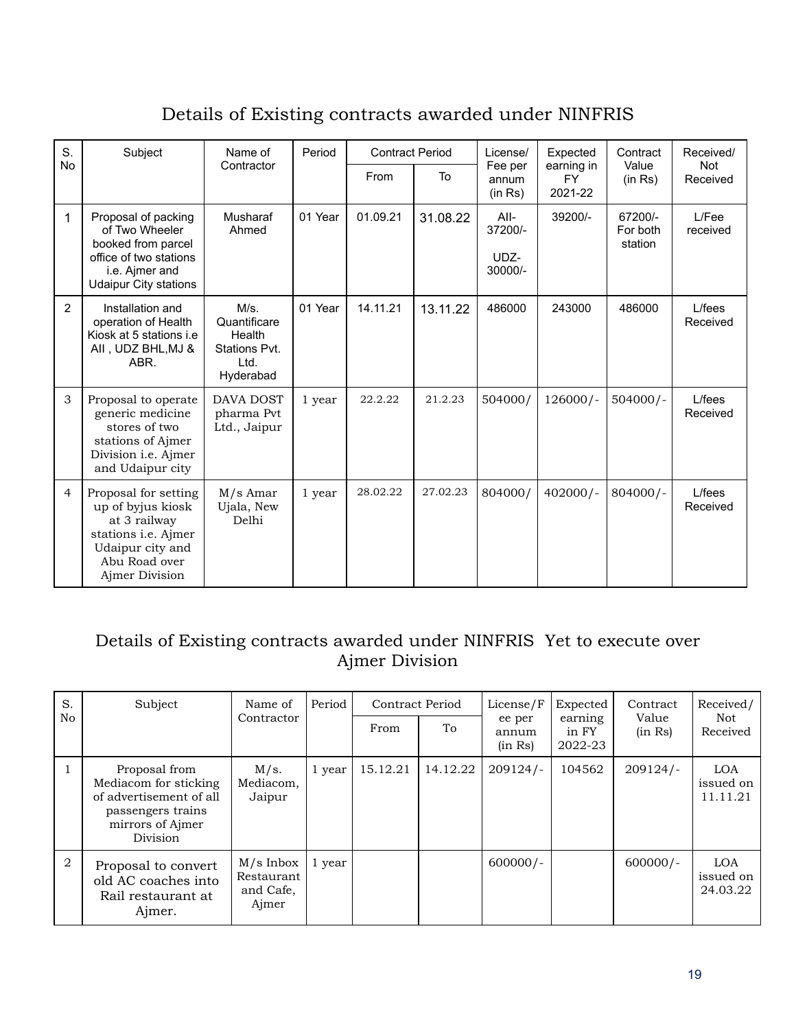## Details of Existing contracts awarded under NINFRIS

| S.             | Subject                                                                                                                                 | Name of                                                              |         | <b>Contract Period</b> |          | I icense/                            | Expected                           | Contract                       | Received/              |
|----------------|-----------------------------------------------------------------------------------------------------------------------------------------|----------------------------------------------------------------------|---------|------------------------|----------|--------------------------------------|------------------------------------|--------------------------------|------------------------|
| <b>No</b>      |                                                                                                                                         | Contractor                                                           |         | <b>From</b>            | To       | Fee per<br>annum<br>(in Rs)          | earning in<br><b>FY</b><br>2021-22 | Value<br>(in Rs)               | <b>Not</b><br>Received |
| 1              | Proposal of packing<br>of Two Wheeler<br>booked from parcel<br>office of two stations<br>i.e. Ajmer and<br><b>Udaipur City stations</b> | Musharaf<br>Ahmed                                                    | 01 Year | 01.09.21               | 31.08.22 | All-<br>37200/-<br>UDZ-<br>$30000/-$ | 39200/-                            | 67200/-<br>For both<br>station | L/Fee<br>received      |
| $\mathcal{P}$  | Installation and<br>operation of Health<br>Kiosk at 5 stations i.e<br>AII, UDZ BHL, MJ &<br>ABR.                                        | M/s<br>Quantificare<br>Health<br>Stations Pvt.<br>l td.<br>Hyderabad | 01 Year | 14.11.21               | 13.11.22 | 486000                               | 243000                             | 486000                         | $L$ / fees<br>Received |
| 3              | Proposal to operate<br>generic medicine<br>stores of two<br>stations of Ajmer<br>Division i.e. Ajmer<br>and Udaipur city                | <b>DAVA DOST</b><br>pharma Pvt<br>Ltd., Jaipur                       | 1 year  | 22.2.22                | 21.2.23  | 504000/                              | $126000/-$                         | $504000/-$                     | $L$ / fees<br>Received |
| $\overline{4}$ | Proposal for setting<br>up of byjus kiosk<br>at 3 railway<br>stations i.e. Ajmer<br>Udaipur city and<br>Abu Road over<br>Ajmer Division | $M/s$ Amar<br>Ujala, New<br>Delhi                                    | 1 year  | 28.02.22               | 27.02.23 | 804000/                              | $402000/-$                         | $804000/-$                     | L/fees<br>Received     |

#### Details of Existing contracts awarded under NINFRIS Yet to execute over Ajmer Division

| S.             | Subject                                                                                                                | Name of                                         | Period | Contract Period |              | License/F        | Expected                    | Contract<br>Value<br>(in Rs) | Received/<br>Not<br>Received        |
|----------------|------------------------------------------------------------------------------------------------------------------------|-------------------------------------------------|--------|-----------------|--------------|------------------|-----------------------------|------------------------------|-------------------------------------|
| No             |                                                                                                                        | Contractor                                      |        | From            | ee per<br>To | annum<br>(in Rs) | earning<br>in FY<br>2022-23 |                              |                                     |
|                | Proposal from<br>Mediacom for sticking<br>of advertisement of all<br>passengers trains<br>mirrors of Aimer<br>Division | M/s.<br>Mediacom,<br>Jaipur                     | 1 year | 15.12.21        | 14.12.22     | $209124/-$       | 104562                      | $209124/-$                   | <b>LOA</b><br>issued on<br>11.11.21 |
| $\overline{2}$ | Proposal to convert<br>old AC coaches into<br>Rail restaurant at<br>Ajmer.                                             | $M/s$ Inbox<br>Restaurant<br>and Cafe,<br>Ajmer | 1 year |                 |              | $600000/-$       |                             | $600000/-$                   | <b>LOA</b><br>issued on<br>24.03.22 |